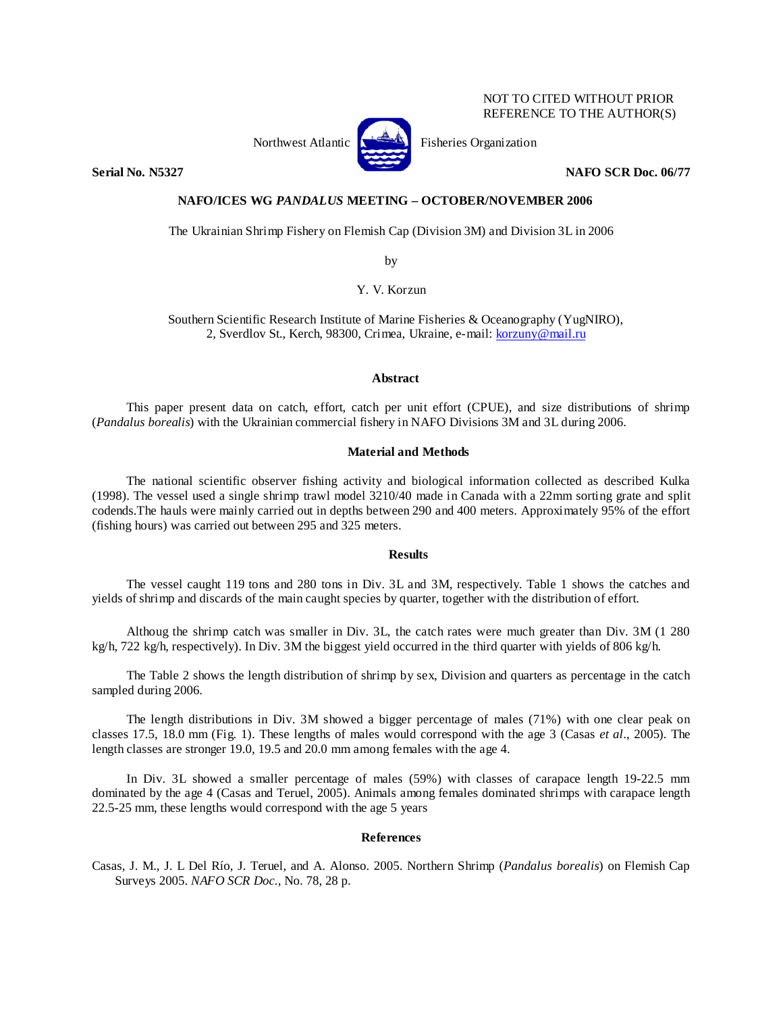### NOT TO CITED WITHOUT PRIOR REFERENCE TO THE AUTHOR(S)



Northwest Atlantic **No. 3. Expansion** Fisheries Organization

**Serial No. N5327 NAFO SCR Doc. 06/77** 

# **NAFO/ICES WG** *PANDALUS* **MEETING – OCTOBER/NOVEMBER 2006**

The Ukrainian Shrimp Fishery on Flemish Cap (Division 3M) and Division 3L in 2006

by

Y. V. Korzun

Southern Scientific Research Institute of Marine Fisheries & Oceanography (YugNIRO), 2, Sverdlov St., Kerch, 98300, Crimea, Ukraine, e-mail: korzuny@mail.ru

#### **Abstract**

This paper present data on catch, effort, catch per unit effort (CPUE), and size distributions of shrimp (*Pandalus borealis*) with the Ukrainian commercial fishery in NAFO Divisions 3M and 3L during 2006.

## **Material and Methods**

The national scientific observer fishing activity and biological information collected as described Kulka (1998). The vessel used a single shrimp trawl model 3210/40 made in Canada with a 22mm sorting grate and split codends.The hauls were mainly carried out in depths between 290 and 400 meters. Approximately 95% of the effort (fishing hours) was carried out between 295 and 325 meters.

### **Results**

The vessel caught 119 tons and 280 tons in Div. 3L and 3M, respectively. Table 1 shows the catches and yields of shrimp and discards of the main caught species by quarter, together with the distribution of effort.

Althoug the shrimp catch was smaller in Div. 3L, the catch rates were much greater than Div. 3M (1 280 kg/h, 722 kg/h, respectively). In Div. 3M the biggest yield occurred in the third quarter with yields of 806 kg/h.

The Table 2 shows the length distribution of shrimp by sex, Division and quarters as percentage in the catch sampled during 2006.

The length distributions in Div. 3M showed a bigger percentage of males (71%) with one clear peak on classes 17.5, 18.0 mm (Fig. 1). These lengths of males would correspond with the age 3 (Casas *et al*., 2005). The length classes are stronger 19.0, 19.5 and 20.0 mm among females with the age 4.

In Div. 3L showed a smaller percentage of males (59%) with classes of carapace length 19-22.5 mm dominated by the age 4 (Casas and Teruel, 2005). Animals among females dominated shrimps with carapace length 22.5-25 mm, these lengths would correspond with the age 5 years

#### **References**

Casas, J. M., J. L Del Río, J. Teruel, and A. Alonso. 2005. Northern Shrimp (*Pandalus borealis*) on Flemish Cap Surveys 2005. *NAFO SCR Doc.*, No. 78, 28 p.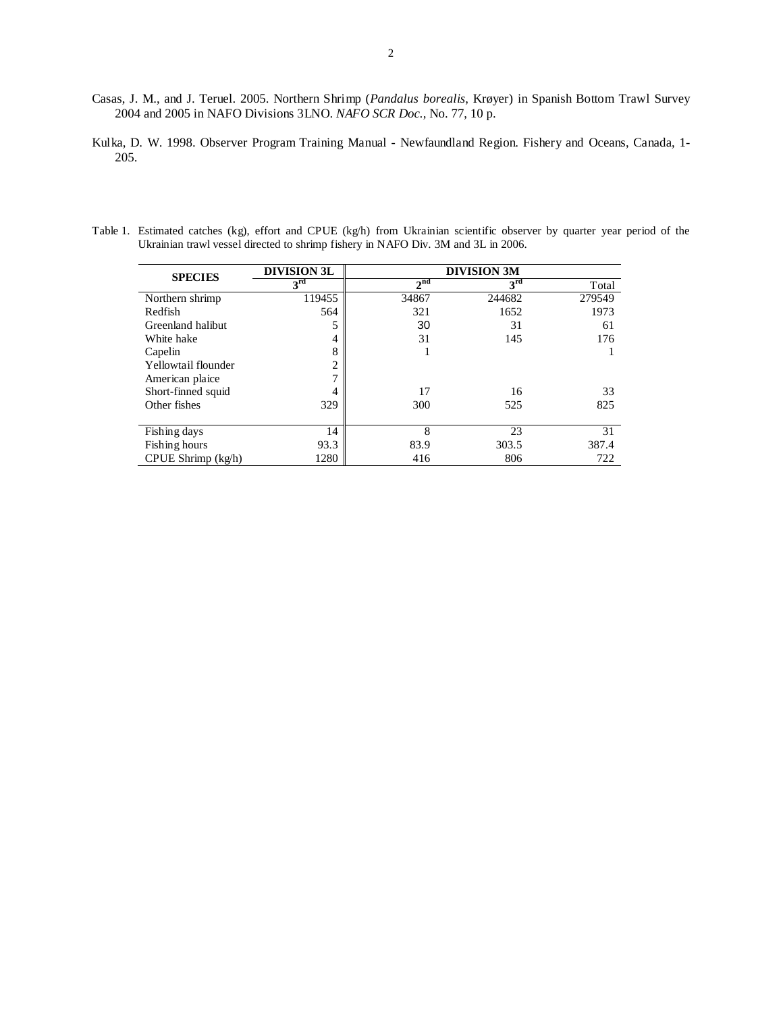- Casas, J. M., and J. Teruel. 2005. Northern Shrimp (*Pandalus borealis*, Krøyer) in Spanish Bottom Trawl Survey 2004 and 2005 in NAFO Divisions 3LNO. *NAFO SCR Doc.,* No. 77, 10 p.
- Kulka, D. W. 1998. Observer Program Training Manual Newfaundland Region. Fishery and Oceans, Canada, 1- 205.
- Table 1. Estimated catches (kg), effort and CPUE (kg/h) from Ukrainian scientific observer by quarter year period of the Ukrainian trawl vessel directed to shrimp fishery in NAFO Div. 3M and 3L in 2006.

|                        | <b>DIVISION 3L</b> | <b>DIVISION 3M</b> |                 |        |  |  |
|------------------------|--------------------|--------------------|-----------------|--------|--|--|
| <b>SPECIES</b>         | 3 <sup>rd</sup>    | 2 <sup>nd</sup>    | 3 <sup>rd</sup> | Total  |  |  |
| Northern shrimp        | 119455             | 34867              | 244682          | 279549 |  |  |
| Redfish                | 564                | 321                | 1652            | 1973   |  |  |
| Greenland halibut      |                    | 30                 | 31              | 61     |  |  |
| White hake             | 4                  | 31                 | 145             | 176    |  |  |
| Capelin                | 8                  |                    |                 |        |  |  |
| Yellowtail flounder    | $\overline{2}$     |                    |                 |        |  |  |
| American plaice        | ⇁                  |                    |                 |        |  |  |
| Short-finned squid     | 4                  | 17                 | 16              | 33     |  |  |
| Other fishes           | 329                | 300                | 525             | 825    |  |  |
|                        |                    |                    |                 |        |  |  |
| Fishing days           | 14                 | 8                  | 23              | 31     |  |  |
| Fishing hours          | 93.3               | 83.9               | 303.5           | 387.4  |  |  |
| $CPUE$ Shrimp $(kg/h)$ | 1280               | 416                | 806             | 722    |  |  |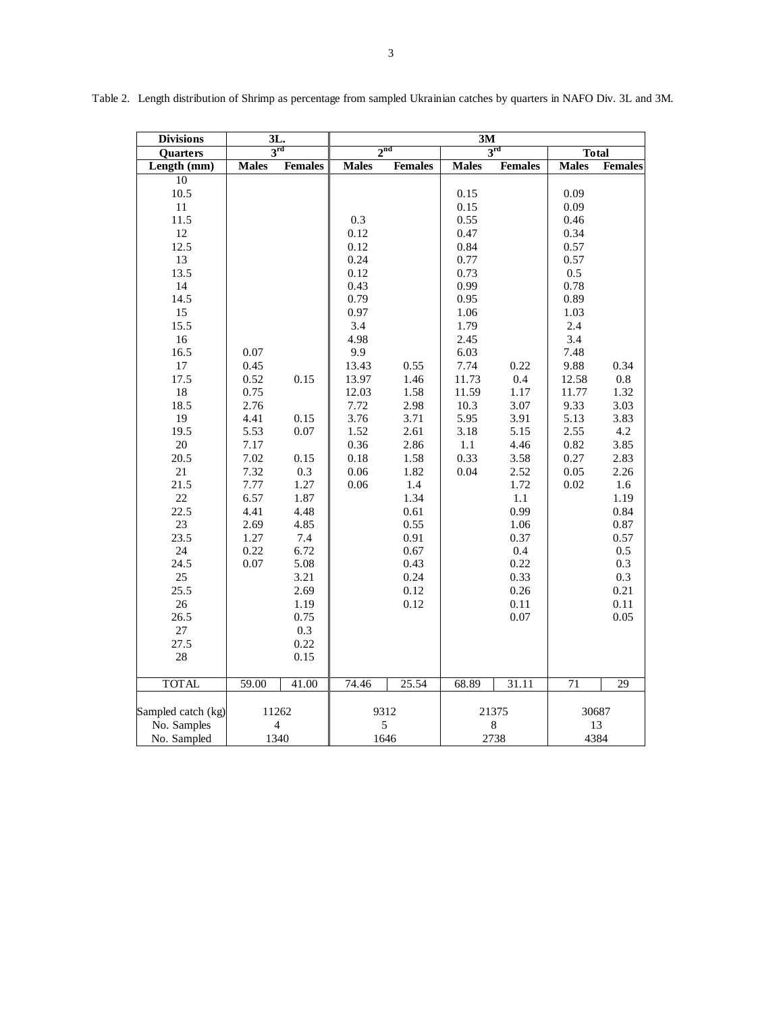| <b>Divisions</b>                                                                                                                                                                                                                                     | 3L.                                                                                                                                  |                                                                                                                                   | 3M                                                                                                                                                                   |                                                                                                                                                     |                                                                                                                                                                               |                                                                                                                                                           |                                                                                                                                                                                     |                                                                                                                                                                    |
|------------------------------------------------------------------------------------------------------------------------------------------------------------------------------------------------------------------------------------------------------|--------------------------------------------------------------------------------------------------------------------------------------|-----------------------------------------------------------------------------------------------------------------------------------|----------------------------------------------------------------------------------------------------------------------------------------------------------------------|-----------------------------------------------------------------------------------------------------------------------------------------------------|-------------------------------------------------------------------------------------------------------------------------------------------------------------------------------|-----------------------------------------------------------------------------------------------------------------------------------------------------------|-------------------------------------------------------------------------------------------------------------------------------------------------------------------------------------|--------------------------------------------------------------------------------------------------------------------------------------------------------------------|
| Quarters                                                                                                                                                                                                                                             | $3^{\rm rd}$                                                                                                                         |                                                                                                                                   | 2 <sup>nd</sup>                                                                                                                                                      |                                                                                                                                                     | $3^{rd}$                                                                                                                                                                      |                                                                                                                                                           | <b>Total</b>                                                                                                                                                                        |                                                                                                                                                                    |
| Length (mm)                                                                                                                                                                                                                                          | <b>Males</b>                                                                                                                         | <b>Females</b>                                                                                                                    | <b>Males</b>                                                                                                                                                         | <b>Females</b>                                                                                                                                      | <b>Males</b>                                                                                                                                                                  | <b>Females</b>                                                                                                                                            | <b>Males</b>                                                                                                                                                                        | <b>Females</b>                                                                                                                                                     |
| 10<br>10.5<br>11<br>11.5<br>12<br>12.5<br>13<br>13.5<br>14<br>14.5<br>15<br>15.5<br>16<br>16.5<br>17<br>17.5<br>$18\,$<br>18.5<br>19<br>19.5<br>20<br>20.5<br>21<br>21.5<br>22<br>22.5<br>23<br>23.5<br>24<br>24.5<br>25<br>25.5<br>26<br>26.5<br>27 | 0.07<br>0.45<br>0.52<br>0.75<br>2.76<br>4.41<br>5.53<br>7.17<br>7.02<br>7.32<br>7.77<br>6.57<br>4.41<br>2.69<br>1.27<br>0.22<br>0.07 | 0.15<br>0.15<br>0.07<br>0.15<br>0.3<br>1.27<br>1.87<br>4.48<br>4.85<br>7.4<br>6.72<br>5.08<br>3.21<br>2.69<br>1.19<br>0.75<br>0.3 | 0.3<br>0.12<br>0.12<br>0.24<br>0.12<br>0.43<br>0.79<br>0.97<br>3.4<br>4.98<br>9.9<br>13.43<br>13.97<br>12.03<br>7.72<br>3.76<br>1.52<br>0.36<br>0.18<br>0.06<br>0.06 | 0.55<br>1.46<br>1.58<br>2.98<br>3.71<br>2.61<br>2.86<br>1.58<br>1.82<br>1.4<br>1.34<br>0.61<br>0.55<br>0.91<br>0.67<br>0.43<br>0.24<br>0.12<br>0.12 | 0.15<br>0.15<br>0.55<br>0.47<br>0.84<br>0.77<br>0.73<br>0.99<br>0.95<br>1.06<br>1.79<br>2.45<br>6.03<br>7.74<br>11.73<br>11.59<br>10.3<br>5.95<br>3.18<br>1.1<br>0.33<br>0.04 | 0.22<br>0.4<br>1.17<br>3.07<br>3.91<br>5.15<br>4.46<br>3.58<br>2.52<br>1.72<br>1.1<br>0.99<br>1.06<br>0.37<br>0.4<br>0.22<br>0.33<br>0.26<br>0.11<br>0.07 | 0.09<br>0.09<br>0.46<br>0.34<br>0.57<br>0.57<br>0.5<br>0.78<br>0.89<br>1.03<br>2.4<br>3.4<br>7.48<br>9.88<br>12.58<br>11.77<br>9.33<br>5.13<br>2.55<br>0.82<br>0.27<br>0.05<br>0.02 | 0.34<br>$0.8\,$<br>1.32<br>3.03<br>3.83<br>4.2<br>3.85<br>2.83<br>2.26<br>1.6<br>1.19<br>0.84<br>$0.87\,$<br>0.57<br>$0.5\,$<br>0.3<br>0.3<br>0.21<br>0.11<br>0.05 |
| 27.5<br>28                                                                                                                                                                                                                                           |                                                                                                                                      | 0.22<br>0.15                                                                                                                      |                                                                                                                                                                      |                                                                                                                                                     |                                                                                                                                                                               |                                                                                                                                                           |                                                                                                                                                                                     |                                                                                                                                                                    |
| <b>TOTAL</b>                                                                                                                                                                                                                                         | 59.00                                                                                                                                | 41.00                                                                                                                             | 74.46                                                                                                                                                                | 25.54                                                                                                                                               | 68.89                                                                                                                                                                         | 31.11                                                                                                                                                     | 71                                                                                                                                                                                  | 29                                                                                                                                                                 |
| Sampled catch (kg)<br>No. Samples<br>No. Sampled                                                                                                                                                                                                     | 11262<br>$\overline{4}$<br>1340                                                                                                      |                                                                                                                                   |                                                                                                                                                                      | 9312<br>5<br>1646                                                                                                                                   |                                                                                                                                                                               | 21375<br>$\,$ 8 $\,$<br>2738                                                                                                                              |                                                                                                                                                                                     | 30687<br>13<br>4384                                                                                                                                                |

Table 2. Length distribution of Shrimp as percentage from sampled Ukrainian catches by quarters in NAFO Div. 3L and 3M.